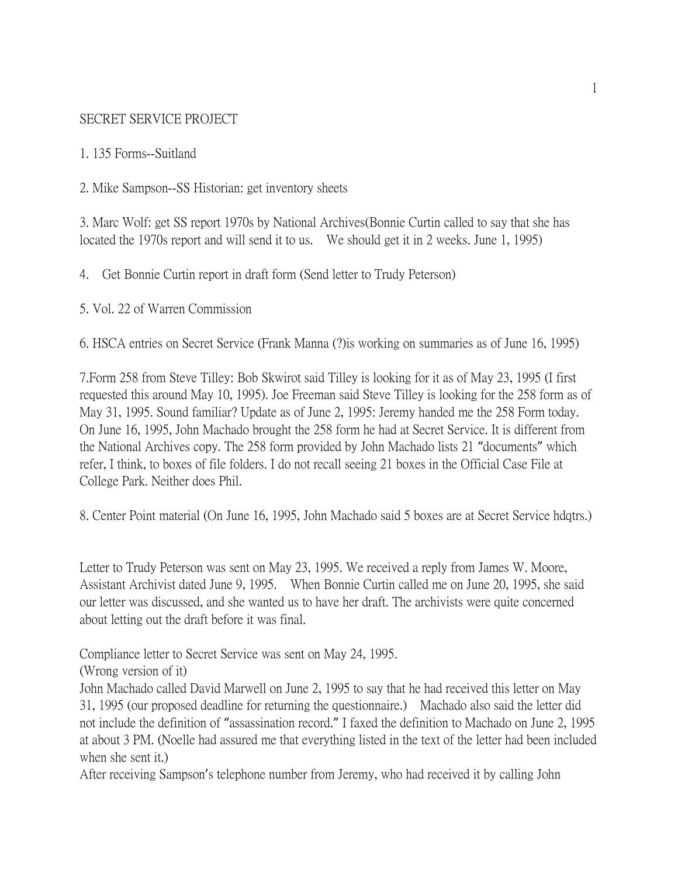#### SECRET SERVICE PROJECT

#### 1. 135 Forms--Suitland

2. Mike Sampson--SS Historian: get inventory sheets

3. Marc Wolf: get SS report 1970s by National Archives(Bonnie Curtin called to say that she has located the 1970s report and will send it to us. We should get it in 2 weeks. June 1, 1995)

4. Get Bonnie Curtin report in draft form (Send letter to Trudy Peterson)

5. Vol. 22 of Warren Commission

6. HSCA entries on Secret Service (Frank Manna (?)is working on summaries as of June 16, 1995)

7.Form 258 from Steve Tilley: Bob Skwirot said Tilley is looking for it as of May 23, 1995 (I first requested this around May 10, 1995). Joe Freeman said Steve Tilley is looking for the 258 form as of May 31, 1995. Sound familiar? Update as of June 2, 1995: Jeremy handed me the 258 Form today. On June 16, 1995, John Machado brought the 258 form he had at Secret Service. It is different from the National Archives copy. The 258 form provided by John Machado lists 21 "documents" which refer, I think, to boxes of file folders. I do not recall seeing 21 boxes in the Official Case File at College Park. Neither does Phil.

8. Center Point material (On June 16, 1995, John Machado said 5 boxes are at Secret Service hdqtrs.)

Letter to Trudy Peterson was sent on May 23, 1995. We received a reply from James W. Moore, Assistant Archivist dated June 9, 1995. When Bonnie Curtin called me on June 20, 1995, she said our letter was discussed, and she wanted us to have her draft. The archivists were quite concerned about letting out the draft before it was final.

Compliance letter to Secret Service was sent on May 24, 1995.

(Wrong version of it)

John Machado called David Marwell on June 2, 1995 to say that he had received this letter on May 31, 1995 (our proposed deadline for returning the questionnaire.) Machado also said the letter did not include the definition of "assassination record." I faxed the definition to Machado on June 2, 1995 at about 3 PM. (Noelle had assured me that everything listed in the text of the letter had been included when she sent it.)

After receiving Sampson's telephone number from Jeremy, who had received it by calling John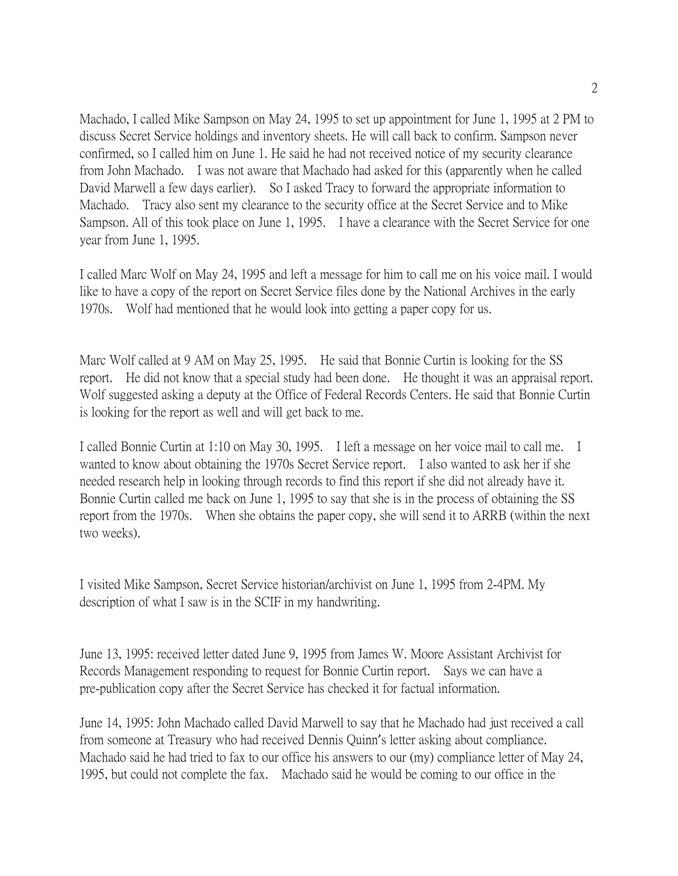Machado, I called Mike Sampson on May 24, 1995 to set up appointment for June 1, 1995 at 2 PM to discuss Secret Service holdings and inventory sheets. He will call back to confirm. Sampson never confirmed, so I called him on June 1. He said he had not received notice of my security clearance from John Machado. I was not aware that Machado had asked for this (apparently when he called David Marwell a few days earlier). So I asked Tracy to forward the appropriate information to Machado. Tracy also sent my clearance to the security office at the Secret Service and to Mike Sampson. All of this took place on June 1, 1995. I have a clearance with the Secret Service for one year from June 1, 1995.

I called Marc Wolf on May 24, 1995 and left a message for him to call me on his voice mail. I would like to have a copy of the report on Secret Service files done by the National Archives in the early 1970s. Wolf had mentioned that he would look into getting a paper copy for us.

Marc Wolf called at 9 AM on May 25, 1995. He said that Bonnie Curtin is looking for the SS report. He did not know that a special study had been done. He thought it was an appraisal report. Wolf suggested asking a deputy at the Office of Federal Records Centers. He said that Bonnie Curtin is looking for the report as well and will get back to me.

I called Bonnie Curtin at 1:10 on May 30, 1995. I left a message on her voice mail to call me. I wanted to know about obtaining the 1970s Secret Service report. I also wanted to ask her if she needed research help in looking through records to find this report if she did not already have it. Bonnie Curtin called me back on June 1, 1995 to say that she is in the process of obtaining the SS report from the 1970s. When she obtains the paper copy, she will send it to ARRB (within the next two weeks).

I visited Mike Sampson, Secret Service historian/archivist on June 1, 1995 from 2-4PM. My description of what I saw is in the SCIF in my handwriting.

June 13, 1995: received letter dated June 9, 1995 from James W. Moore Assistant Archivist for Records Management responding to request for Bonnie Curtin report. Says we can have a pre-publication copy after the Secret Service has checked it for factual information.

June 14, 1995: John Machado called David Marwell to say that he Machado had just received a call from someone at Treasury who had received Dennis Quinn's letter asking about compliance. Machado said he had tried to fax to our office his answers to our (my) compliance letter of May 24, 1995, but could not complete the fax. Machado said he would be coming to our office in the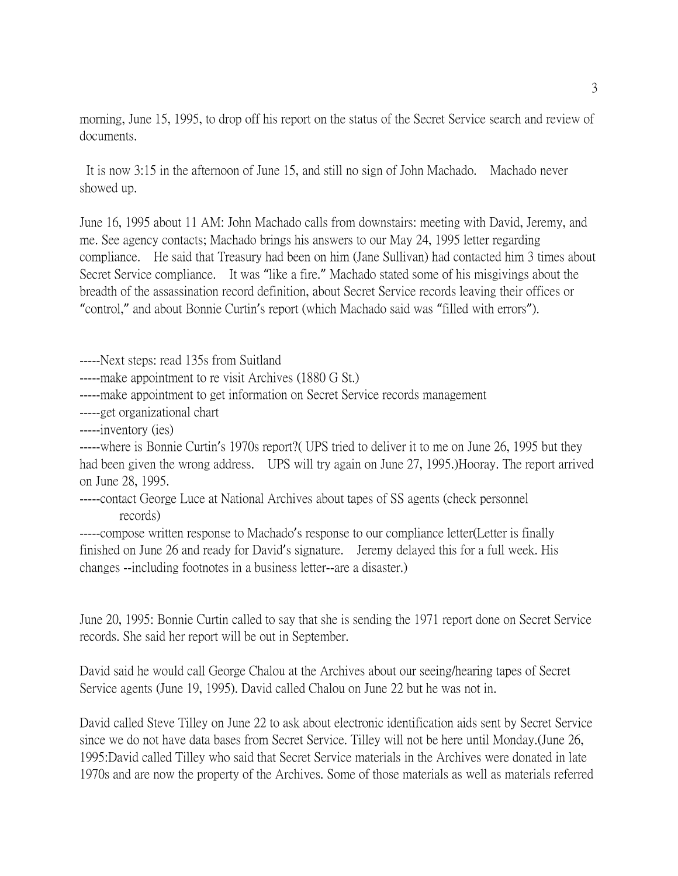morning, June 15, 1995, to drop off his report on the status of the Secret Service search and review of documents.

It is now 3:15 in the afternoon of June 15, and still no sign of John Machado. Machado never showed up.

June 16, 1995 about 11 AM: John Machado calls from downstairs: meeting with David, Jeremy, and me. See agency contacts; Machado brings his answers to our May 24, 1995 letter regarding compliance. He said that Treasury had been on him (Jane Sullivan) had contacted him 3 times about Secret Service compliance. It was "like a fire." Machado stated some of his misgivings about the breadth of the assassination record definition, about Secret Service records leaving their offices or "control," and about Bonnie Curtin's report (which Machado said was "filled with errors").

-----Next steps: read 135s from Suitland

-----make appointment to re visit Archives (1880 G St.)

-----make appointment to get information on Secret Service records management

-----get organizational chart

-----inventory (ies)

-----where is Bonnie Curtin's 1970s report?( UPS tried to deliver it to me on June 26, 1995 but they had been given the wrong address. UPS will try again on June 27, 1995.)Hooray. The report arrived on June 28, 1995.

-----contact George Luce at National Archives about tapes of SS agents (check personnel records)

-----compose written response to Machado's response to our compliance letter(Letter is finally finished on June 26 and ready for David's signature. Jeremy delayed this for a full week. His changes --including footnotes in a business letter--are a disaster.)

June 20, 1995: Bonnie Curtin called to say that she is sending the 1971 report done on Secret Service records. She said her report will be out in September.

David said he would call George Chalou at the Archives about our seeing/hearing tapes of Secret Service agents (June 19, 1995). David called Chalou on June 22 but he was not in.

David called Steve Tilley on June 22 to ask about electronic identification aids sent by Secret Service since we do not have data bases from Secret Service. Tilley will not be here until Monday.(June 26, 1995:David called Tilley who said that Secret Service materials in the Archives were donated in late 1970s and are now the property of the Archives. Some of those materials as well as materials referred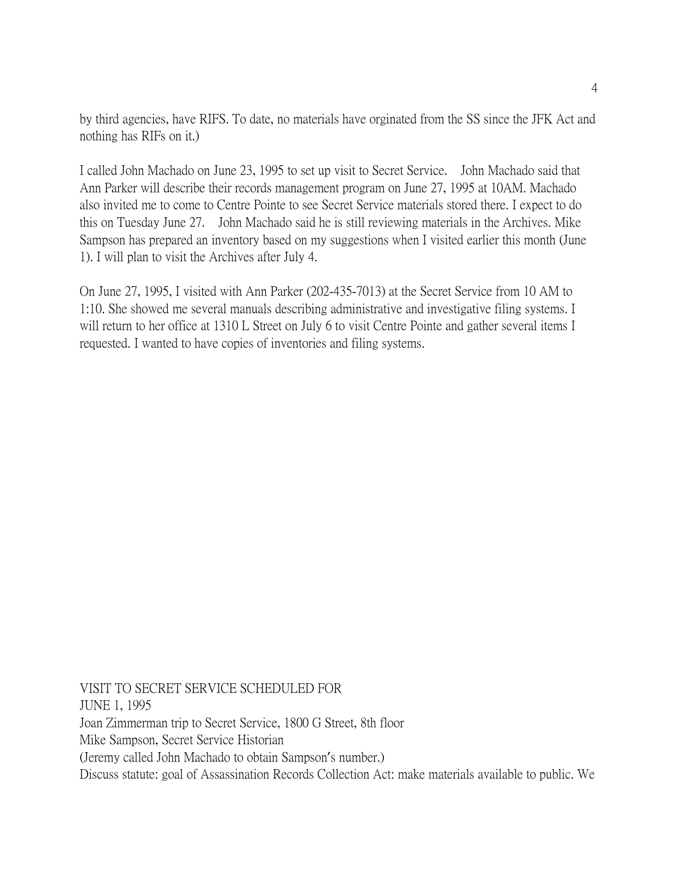by third agencies, have RIFS. To date, no materials have orginated from the SS since the JFK Act and nothing has RIFs on it.)

I called John Machado on June 23, 1995 to set up visit to Secret Service. John Machado said that Ann Parker will describe their records management program on June 27, 1995 at 10AM. Machado also invited me to come to Centre Pointe to see Secret Service materials stored there. I expect to do this on Tuesday June 27. John Machado said he is still reviewing materials in the Archives. Mike Sampson has prepared an inventory based on my suggestions when I visited earlier this month (June 1). I will plan to visit the Archives after July 4.

On June 27, 1995, I visited with Ann Parker (202-435-7013) at the Secret Service from 10 AM to 1:10. She showed me several manuals describing administrative and investigative filing systems. I will return to her office at 1310 L Street on July 6 to visit Centre Pointe and gather several items I requested. I wanted to have copies of inventories and filing systems.

VISIT TO SECRET SERVICE SCHEDULED FOR JUNE 1, 1995 Joan Zimmerman trip to Secret Service, 1800 G Street, 8th floor Mike Sampson, Secret Service Historian (Jeremy called John Machado to obtain Sampson's number.) Discuss statute: goal of Assassination Records Collection Act: make materials available to public. We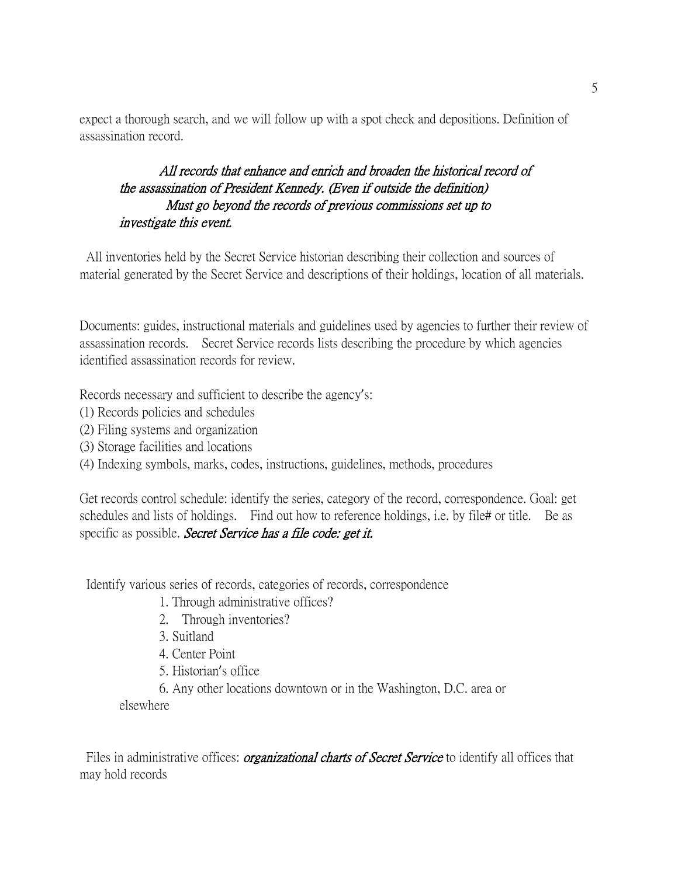expect a thorough search, and we will follow up with a spot check and depositions. Definition of assassination record.

# All records that enhance and enrich and broaden the historical record of the assassination of President Kennedy. (Even if outside the definition) Must go beyond the records of previous commissions set up to investigate this event.

All inventories held by the Secret Service historian describing their collection and sources of material generated by the Secret Service and descriptions of their holdings, location of all materials.

Documents: guides, instructional materials and guidelines used by agencies to further their review of assassination records. Secret Service records lists describing the procedure by which agencies identified assassination records for review.

Records necessary and sufficient to describe the agency's:

- (1) Records policies and schedules
- (2) Filing systems and organization
- (3) Storage facilities and locations
- (4) Indexing symbols, marks, codes, instructions, guidelines, methods, procedures

Get records control schedule: identify the series, category of the record, correspondence. Goal: get schedules and lists of holdings. Find out how to reference holdings, i.e. by file# or title. Be as specific as possible. Secret Service has a file code: get it.

Identify various series of records, categories of records, correspondence

- 1. Through administrative offices?
- 2. Through inventories?
- 3. Suitland
- 4. Center Point
- 5. Historian's office
- 6. Any other locations downtown or in the Washington, D.C. area or

elsewhere

Files in administrative offices: *organizational charts of Secret Service* to identify all offices that may hold records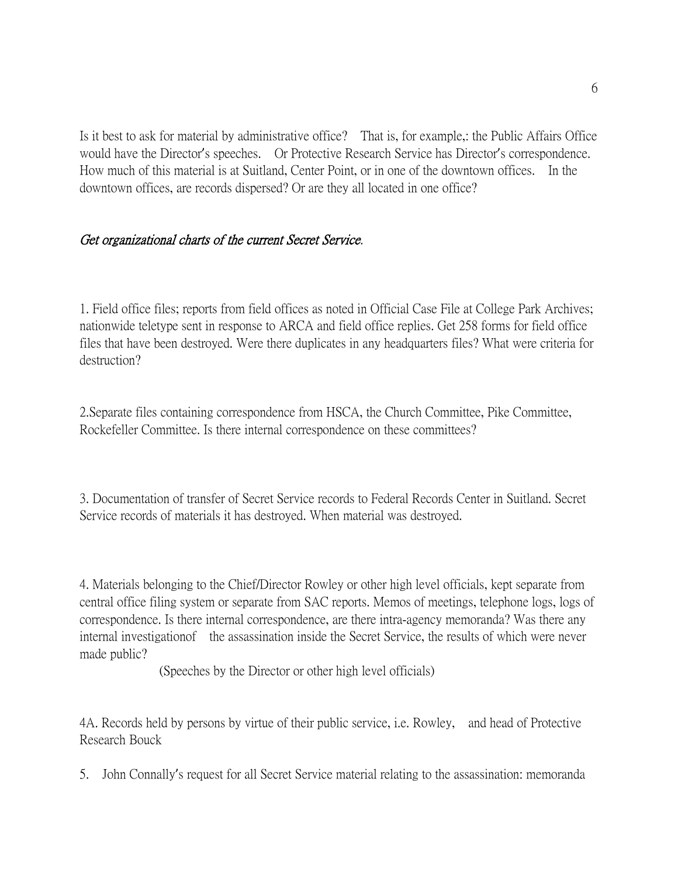Is it best to ask for material by administrative office? That is, for example,: the Public Affairs Office would have the Director's speeches. Or Protective Research Service has Director's correspondence. How much of this material is at Suitland, Center Point, or in one of the downtown offices. In the downtown offices, are records dispersed? Or are they all located in one office?

# Get organizational charts of the current Secret Service.

1. Field office files; reports from field offices as noted in Official Case File at College Park Archives; nationwide teletype sent in response to ARCA and field office replies. Get 258 forms for field office files that have been destroyed. Were there duplicates in any headquarters files? What were criteria for destruction?

2.Separate files containing correspondence from HSCA, the Church Committee, Pike Committee, Rockefeller Committee. Is there internal correspondence on these committees?

3. Documentation of transfer of Secret Service records to Federal Records Center in Suitland. Secret Service records of materials it has destroyed. When material was destroyed.

4. Materials belonging to the Chief/Director Rowley or other high level officials, kept separate from central office filing system or separate from SAC reports. Memos of meetings, telephone logs, logs of correspondence. Is there internal correspondence, are there intra-agency memoranda? Was there any internal investigationof the assassination inside the Secret Service, the results of which were never made public?

(Speeches by the Director or other high level officials)

4A. Records held by persons by virtue of their public service, i.e. Rowley, and head of Protective Research Bouck

5. John Connally's request for all Secret Service material relating to the assassination: memoranda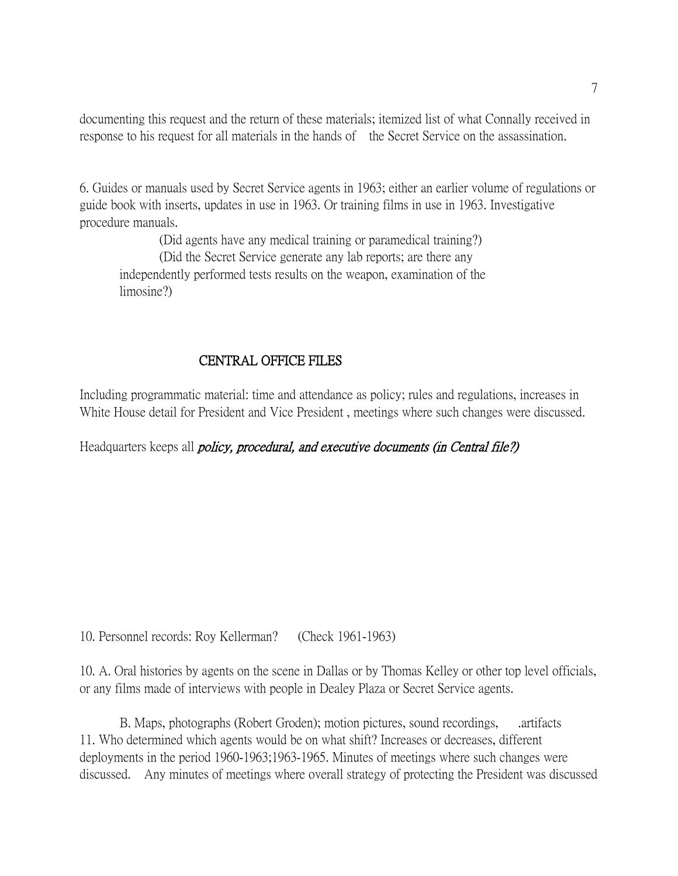documenting this request and the return of these materials; itemized list of what Connally received in response to his request for all materials in the hands of the Secret Service on the assassination.

6. Guides or manuals used by Secret Service agents in 1963; either an earlier volume of regulations or guide book with inserts, updates in use in 1963. Or training films in use in 1963. Investigative procedure manuals.

(Did agents have any medical training or paramedical training?) (Did the Secret Service generate any lab reports; are there any independently performed tests results on the weapon, examination of the limosine?)

# CENTRAL OFFICE FILES

Including programmatic material: time and attendance as policy; rules and regulations, increases in White House detail for President and Vice President , meetings where such changes were discussed.

Headquarters keeps all *policy, procedural, and executive documents (in Central file?)* 

10. Personnel records: Roy Kellerman? (Check 1961-1963)

10. A. Oral histories by agents on the scene in Dallas or by Thomas Kelley or other top level officials, or any films made of interviews with people in Dealey Plaza or Secret Service agents.

B. Maps, photographs (Robert Groden); motion pictures, sound recordings, artifacts 11. Who determined which agents would be on what shift? Increases or decreases, different deployments in the period 1960-1963;1963-1965. Minutes of meetings where such changes were discussed. Any minutes of meetings where overall strategy of protecting the President was discussed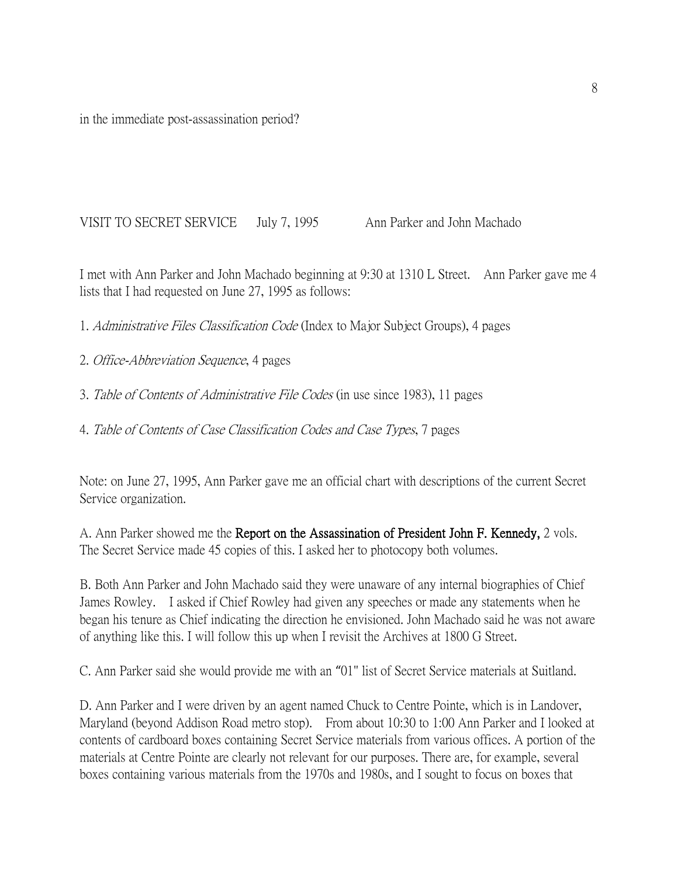in the immediate post-assassination period?

VISIT TO SECRET SERVICE July 7, 1995 Ann Parker and John Machado

I met with Ann Parker and John Machado beginning at 9:30 at 1310 L Street. Ann Parker gave me 4 lists that I had requested on June 27, 1995 as follows:

1. Administrative Files Classification Code (Index to Major Subject Groups), 4 pages

2. Office-Abbreviation Sequence, 4 pages

3. Table of Contents of Administrative File Codes (in use since 1983), 11 pages

4. Table of Contents of Case Classification Codes and Case Types, 7 pages

Note: on June 27, 1995, Ann Parker gave me an official chart with descriptions of the current Secret Service organization.

A. Ann Parker showed me the Report on the Assassination of President John F. Kennedy, 2 vols. The Secret Service made 45 copies of this. I asked her to photocopy both volumes.

B. Both Ann Parker and John Machado said they were unaware of any internal biographies of Chief James Rowley. I asked if Chief Rowley had given any speeches or made any statements when he began his tenure as Chief indicating the direction he envisioned. John Machado said he was not aware of anything like this. I will follow this up when I revisit the Archives at 1800 G Street.

C. Ann Parker said she would provide me with an "01" list of Secret Service materials at Suitland.

D. Ann Parker and I were driven by an agent named Chuck to Centre Pointe, which is in Landover, Maryland (beyond Addison Road metro stop). From about 10:30 to 1:00 Ann Parker and I looked at contents of cardboard boxes containing Secret Service materials from various offices. A portion of the materials at Centre Pointe are clearly not relevant for our purposes. There are, for example, several boxes containing various materials from the 1970s and 1980s, and I sought to focus on boxes that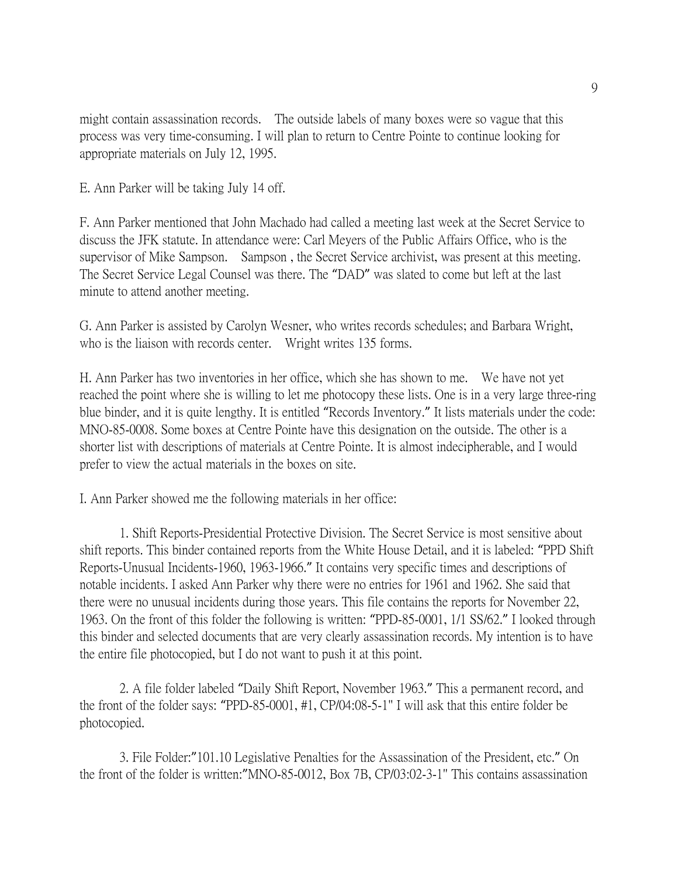might contain assassination records. The outside labels of many boxes were so vague that this process was very time-consuming. I will plan to return to Centre Pointe to continue looking for appropriate materials on July 12, 1995.

E. Ann Parker will be taking July 14 off.

F. Ann Parker mentioned that John Machado had called a meeting last week at the Secret Service to discuss the JFK statute. In attendance were: Carl Meyers of the Public Affairs Office, who is the supervisor of Mike Sampson. Sampson , the Secret Service archivist, was present at this meeting. The Secret Service Legal Counsel was there. The "DAD" was slated to come but left at the last minute to attend another meeting.

G. Ann Parker is assisted by Carolyn Wesner, who writes records schedules; and Barbara Wright, who is the liaison with records center. Wright writes 135 forms.

H. Ann Parker has two inventories in her office, which she has shown to me. We have not yet reached the point where she is willing to let me photocopy these lists. One is in a very large three-ring blue binder, and it is quite lengthy. It is entitled "Records Inventory." It lists materials under the code: MNO-85-0008. Some boxes at Centre Pointe have this designation on the outside. The other is a shorter list with descriptions of materials at Centre Pointe. It is almost indecipherable, and I would prefer to view the actual materials in the boxes on site.

I. Ann Parker showed me the following materials in her office:

1. Shift Reports-Presidential Protective Division. The Secret Service is most sensitive about shift reports. This binder contained reports from the White House Detail, and it is labeled: "PPD Shift Reports-Unusual Incidents-1960, 1963-1966." It contains very specific times and descriptions of notable incidents. I asked Ann Parker why there were no entries for 1961 and 1962. She said that there were no unusual incidents during those years. This file contains the reports for November 22, 1963. On the front of this folder the following is written: "PPD-85-0001, 1/1 SS/62." I looked through this binder and selected documents that are very clearly assassination records. My intention is to have the entire file photocopied, but I do not want to push it at this point.

2. A file folder labeled "Daily Shift Report, November 1963." This a permanent record, and the front of the folder says: "PPD-85-0001, #1, CP/04:08-5-1" I will ask that this entire folder be photocopied.

3. File Folder:"101.10 Legislative Penalties for the Assassination of the President, etc." On the front of the folder is written:"MNO-85-0012, Box 7B, CP/03:02-3-1" This contains assassination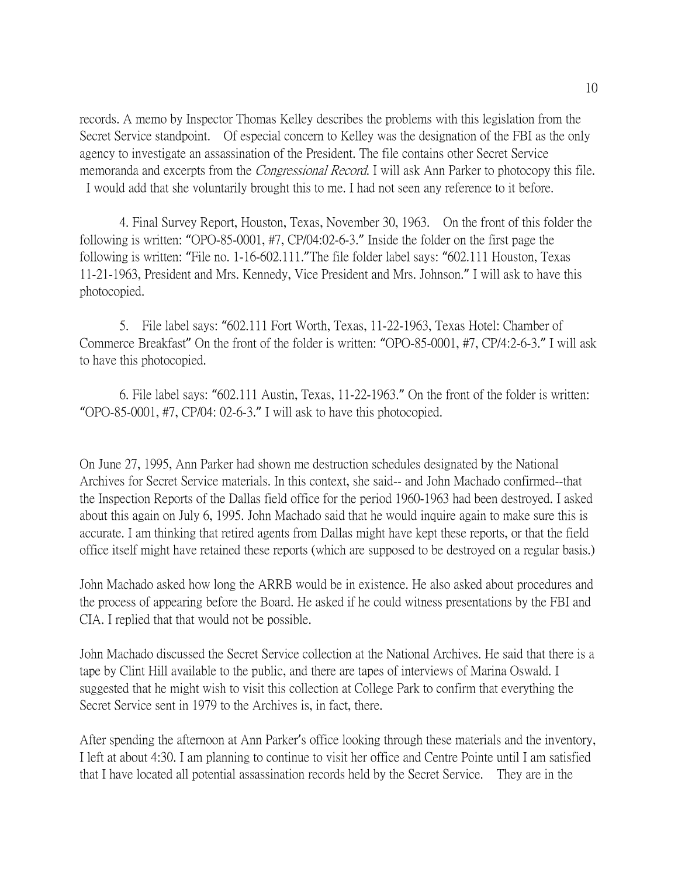records. A memo by Inspector Thomas Kelley describes the problems with this legislation from the Secret Service standpoint. Of especial concern to Kelley was the designation of the FBI as the only agency to investigate an assassination of the President. The file contains other Secret Service memoranda and excerpts from the *Congressional Record*. I will ask Ann Parker to photocopy this file. I would add that she voluntarily brought this to me. I had not seen any reference to it before.

4. Final Survey Report, Houston, Texas, November 30, 1963. On the front of this folder the following is written: "OPO-85-0001, #7, CP/04:02-6-3." Inside the folder on the first page the following is written: "File no. 1-16-602.111."The file folder label says: "602.111 Houston, Texas 11-21-1963, President and Mrs. Kennedy, Vice President and Mrs. Johnson." I will ask to have this photocopied.

5. File label says: "602.111 Fort Worth, Texas, 11-22-1963, Texas Hotel: Chamber of Commerce Breakfast" On the front of the folder is written: "OPO-85-0001, #7, CP/4:2-6-3." I will ask to have this photocopied.

6. File label says: "602.111 Austin, Texas, 11-22-1963." On the front of the folder is written: "OPO-85-0001, #7, CP/04: 02-6-3." I will ask to have this photocopied.

On June 27, 1995, Ann Parker had shown me destruction schedules designated by the National Archives for Secret Service materials. In this context, she said-- and John Machado confirmed--that the Inspection Reports of the Dallas field office for the period 1960-1963 had been destroyed. I asked about this again on July 6, 1995. John Machado said that he would inquire again to make sure this is accurate. I am thinking that retired agents from Dallas might have kept these reports, or that the field office itself might have retained these reports (which are supposed to be destroyed on a regular basis.)

John Machado asked how long the ARRB would be in existence. He also asked about procedures and the process of appearing before the Board. He asked if he could witness presentations by the FBI and CIA. I replied that that would not be possible.

John Machado discussed the Secret Service collection at the National Archives. He said that there is a tape by Clint Hill available to the public, and there are tapes of interviews of Marina Oswald. I suggested that he might wish to visit this collection at College Park to confirm that everything the Secret Service sent in 1979 to the Archives is, in fact, there.

After spending the afternoon at Ann Parker's office looking through these materials and the inventory, I left at about 4:30. I am planning to continue to visit her office and Centre Pointe until I am satisfied that I have located all potential assassination records held by the Secret Service. They are in the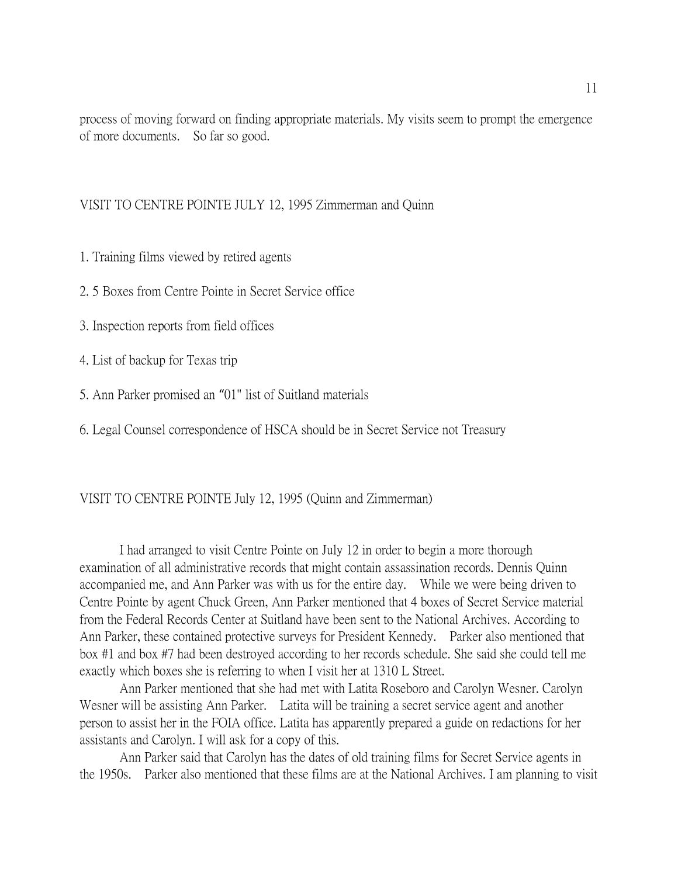process of moving forward on finding appropriate materials. My visits seem to prompt the emergence of more documents. So far so good.

#### VISIT TO CENTRE POINTE JULY 12, 1995 Zimmerman and Quinn

1. Training films viewed by retired agents

- 2. 5 Boxes from Centre Pointe in Secret Service office
- 3. Inspection reports from field offices
- 4. List of backup for Texas trip
- 5. Ann Parker promised an "01" list of Suitland materials
- 6. Legal Counsel correspondence of HSCA should be in Secret Service not Treasury

#### VISIT TO CENTRE POINTE July 12, 1995 (Quinn and Zimmerman)

I had arranged to visit Centre Pointe on July 12 in order to begin a more thorough examination of all administrative records that might contain assassination records. Dennis Quinn accompanied me, and Ann Parker was with us for the entire day. While we were being driven to Centre Pointe by agent Chuck Green, Ann Parker mentioned that 4 boxes of Secret Service material from the Federal Records Center at Suitland have been sent to the National Archives. According to Ann Parker, these contained protective surveys for President Kennedy. Parker also mentioned that box #1 and box #7 had been destroyed according to her records schedule. She said she could tell me exactly which boxes she is referring to when I visit her at 1310 L Street.

Ann Parker mentioned that she had met with Latita Roseboro and Carolyn Wesner. Carolyn Wesner will be assisting Ann Parker. Latita will be training a secret service agent and another person to assist her in the FOIA office. Latita has apparently prepared a guide on redactions for her assistants and Carolyn. I will ask for a copy of this.

Ann Parker said that Carolyn has the dates of old training films for Secret Service agents in the 1950s. Parker also mentioned that these films are at the National Archives. I am planning to visit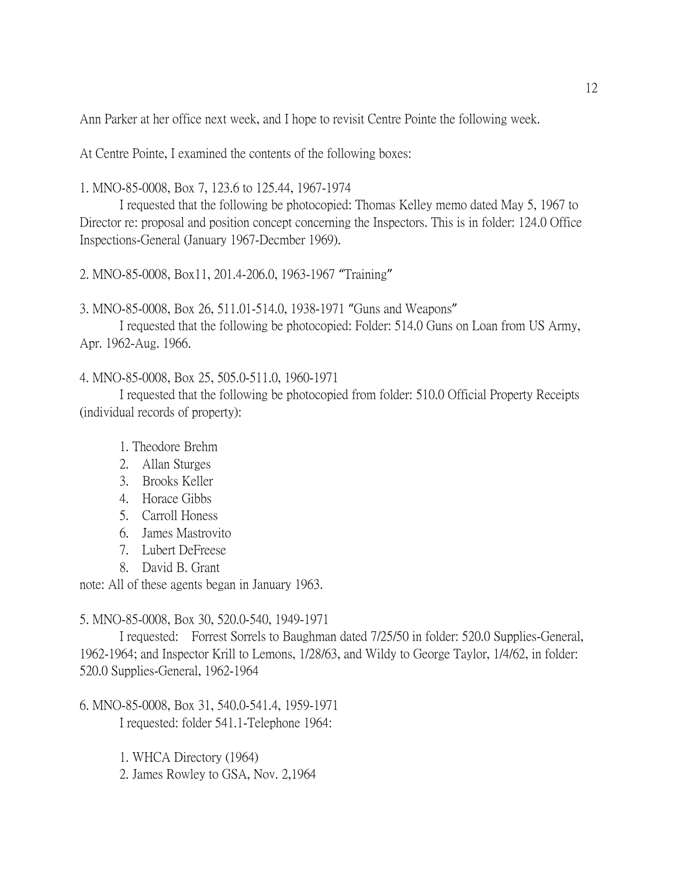Ann Parker at her office next week, and I hope to revisit Centre Pointe the following week.

At Centre Pointe, I examined the contents of the following boxes:

1. MNO-85-0008, Box 7, 123.6 to 125.44, 1967-1974

I requested that the following be photocopied: Thomas Kelley memo dated May 5, 1967 to Director re: proposal and position concept concerning the Inspectors. This is in folder: 124.0 Office Inspections-General (January 1967-Decmber 1969).

2. MNO-85-0008, Box11, 201.4-206.0, 1963-1967 "Training"

3. MNO-85-0008, Box 26, 511.01-514.0, 1938-1971 "Guns and Weapons"

I requested that the following be photocopied: Folder: 514.0 Guns on Loan from US Army, Apr. 1962-Aug. 1966.

### 4. MNO-85-0008, Box 25, 505.0-511.0, 1960-1971

I requested that the following be photocopied from folder: 510.0 Official Property Receipts (individual records of property):

1. Theodore Brehm

- 2. Allan Sturges
- 3. Brooks Keller
- 4. Horace Gibbs
- 5. Carroll Honess
- 6. James Mastrovito
- 7. Lubert DeFreese
- 8. David B. Grant

note: All of these agents began in January 1963.

5. MNO-85-0008, Box 30, 520.0-540, 1949-1971

I requested: Forrest Sorrels to Baughman dated 7/25/50 in folder: 520.0 Supplies-General, 1962-1964; and Inspector Krill to Lemons, 1/28/63, and Wildy to George Taylor, 1/4/62, in folder: 520.0 Supplies-General, 1962-1964

6. MNO-85-0008, Box 31, 540.0-541.4, 1959-1971 I requested: folder 541.1-Telephone 1964:

1. WHCA Directory (1964)

2. James Rowley to GSA, Nov. 2,1964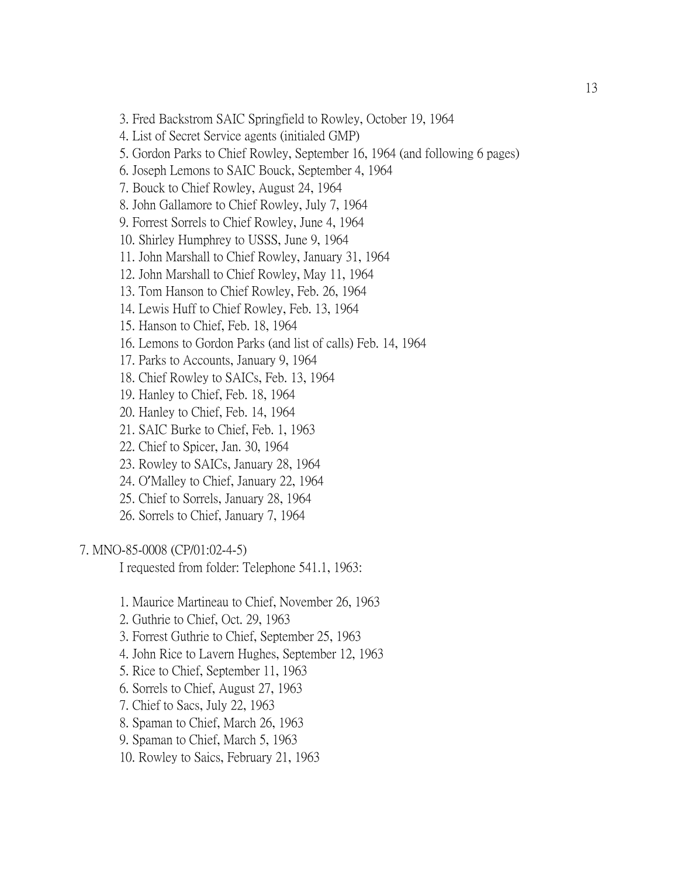3. Fred Backstrom SAIC Springfield to Rowley, October 19, 1964

4. List of Secret Service agents (initialed GMP)

5. Gordon Parks to Chief Rowley, September 16, 1964 (and following 6 pages)

6. Joseph Lemons to SAIC Bouck, September 4, 1964

7. Bouck to Chief Rowley, August 24, 1964

8. John Gallamore to Chief Rowley, July 7, 1964

9. Forrest Sorrels to Chief Rowley, June 4, 1964

10. Shirley Humphrey to USSS, June 9, 1964

11. John Marshall to Chief Rowley, January 31, 1964

12. John Marshall to Chief Rowley, May 11, 1964

13. Tom Hanson to Chief Rowley, Feb. 26, 1964

14. Lewis Huff to Chief Rowley, Feb. 13, 1964

15. Hanson to Chief, Feb. 18, 1964

16. Lemons to Gordon Parks (and list of calls) Feb. 14, 1964

17. Parks to Accounts, January 9, 1964

18. Chief Rowley to SAICs, Feb. 13, 1964

19. Hanley to Chief, Feb. 18, 1964

20. Hanley to Chief, Feb. 14, 1964

21. SAIC Burke to Chief, Feb. 1, 1963

22. Chief to Spicer, Jan. 30, 1964

23. Rowley to SAICs, January 28, 1964

24. O'Malley to Chief, January 22, 1964

25. Chief to Sorrels, January 28, 1964

26. Sorrels to Chief, January 7, 1964

7. MNO-85-0008 (CP/01:02-4-5)

I requested from folder: Telephone 541.1, 1963:

1. Maurice Martineau to Chief, November 26, 1963

2. Guthrie to Chief, Oct. 29, 1963

3. Forrest Guthrie to Chief, September 25, 1963

4. John Rice to Lavern Hughes, September 12, 1963

5. Rice to Chief, September 11, 1963

6. Sorrels to Chief, August 27, 1963

7. Chief to Sacs, July 22, 1963

8. Spaman to Chief, March 26, 1963

9. Spaman to Chief, March 5, 1963

10. Rowley to Saics, February 21, 1963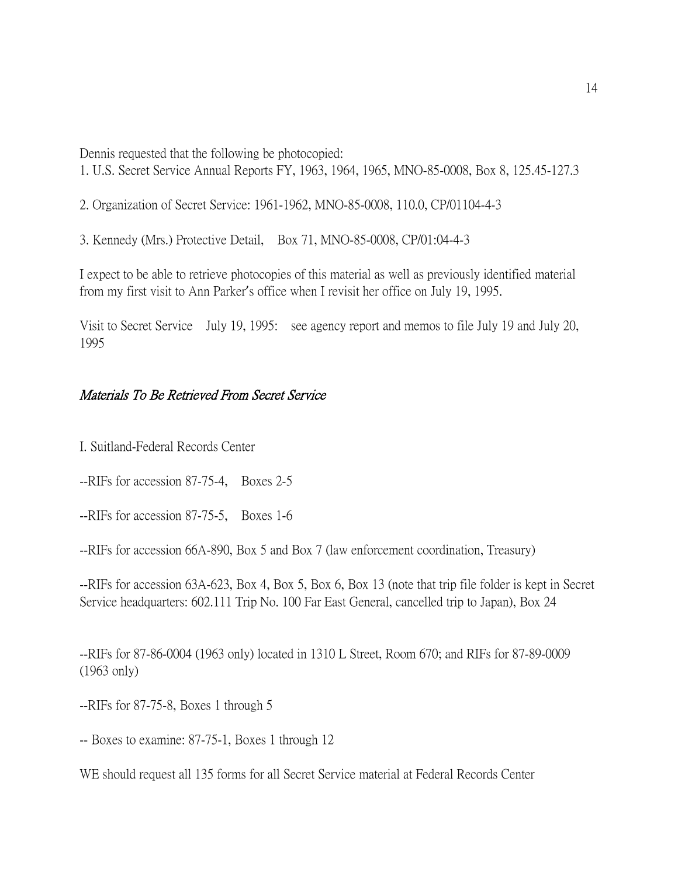Dennis requested that the following be photocopied:

1. U.S. Secret Service Annual Reports FY, 1963, 1964, 1965, MNO-85-0008, Box 8, 125.45-127.3

2. Organization of Secret Service: 1961-1962, MNO-85-0008, 110.0, CP/01104-4-3

3. Kennedy (Mrs.) Protective Detail, Box 71, MNO-85-0008, CP/01:04-4-3

I expect to be able to retrieve photocopies of this material as well as previously identified material from my first visit to Ann Parker's office when I revisit her office on July 19, 1995.

Visit to Secret Service July 19, 1995: see agency report and memos to file July 19 and July 20, 1995

# Materials To Be Retrieved From Secret Service

I. Suitland-Federal Records Center

--RIFs for accession 87-75-4, Boxes 2-5

--RIFs for accession 87-75-5, Boxes 1-6

--RIFs for accession 66A-890, Box 5 and Box 7 (law enforcement coordination, Treasury)

--RIFs for accession 63A-623, Box 4, Box 5, Box 6, Box 13 (note that trip file folder is kept in Secret Service headquarters: 602.111 Trip No. 100 Far East General, cancelled trip to Japan), Box 24

--RIFs for 87-86-0004 (1963 only) located in 1310 L Street, Room 670; and RIFs for 87-89-0009 (1963 only)

--RIFs for 87-75-8, Boxes 1 through 5

-- Boxes to examine: 87-75-1, Boxes 1 through 12

WE should request all 135 forms for all Secret Service material at Federal Records Center